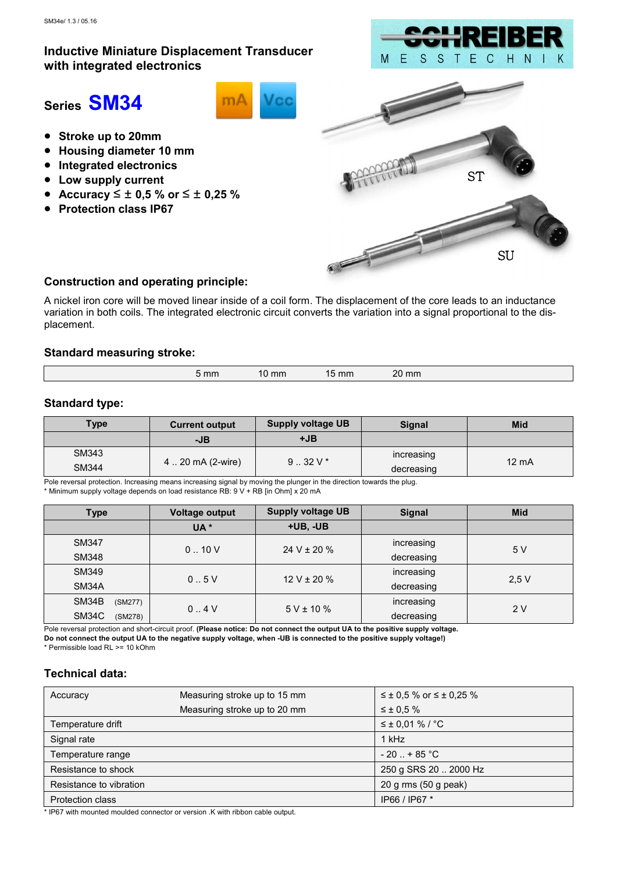# Inductive Miniature Displacement Transducer with integrated electronics



# Series SM34



- Stroke up to 20mm
- Housing diameter 10 mm
- Integrated electronics
- Low supply current
- Accuracy  $\leq \pm 0.5$  % or  $\leq \pm 0.25$  %
- Protection class IP67



## Construction and operating principle:

A nickel iron core will be moved linear inside of a coil form. The displacement of the core leads to an inductance variation in both coils. The integrated electronic circuit converts the variation into a signal proportional to the displacement.

#### Standard measuring stroke:

| 20<br>20 mm<br>15 mm<br>10 mm<br><b>16</b> |
|--------------------------------------------|
|--------------------------------------------|

## Standard type:

| <b>Type</b> | <b>Current output</b> | <b>Supply voltage UB</b> | <b>Signal</b> | <b>Mid</b>      |
|-------------|-----------------------|--------------------------|---------------|-----------------|
|             | -JB                   | $+JB$                    |               |                 |
| SM343       | 4  20 mA (2-wire)     | $9.32V*$                 | increasing    | $12 \text{ mA}$ |
| SM344       |                       |                          | decreasing    |                 |

Pole reversal protection. Increasing means increasing signal by moving the plunger in the direction towards the plug. \* Minimum supply voltage depends on load resistance RB: 9 V + RB [in Ohm] x 20 mA

| Type             | <b>Voltage output</b> | <b>Supply voltage UB</b> | <b>Signal</b> | <b>Mid</b> |
|------------------|-----------------------|--------------------------|---------------|------------|
|                  | UA <sup>*</sup>       | $+UB$ , $-UB$            |               |            |
| <b>SM347</b>     |                       | 24 V $\pm$ 20 %          | increasing    | 5 V        |
| <b>SM348</b>     | 0.10V                 |                          | decreasing    |            |
| SM349            | 0.5V                  | $12 V \pm 20 \%$         | increasing    |            |
| SM34A            |                       |                          | decreasing    | 2.5V       |
| SM34B<br>(SM277) | 0.4V                  | $5 V \pm 10 \%$          | increasing    | 2V         |
| SM34C<br>(SM278) |                       |                          | decreasing    |            |

Pole reversal protection and short-circuit proof. (Please notice: Do not connect the output UA to the positive supply voltage. Do not connect the output UA to the negative supply voltage, when -UB is connected to the positive supply voltage!)

### \* Permissible load RL >= 10 kOhm

## Technical data:

| Accuracy                | Measuring stroke up to 15 mm | $\leq \pm 0.5$ % or $\leq \pm 0.25$ % |
|-------------------------|------------------------------|---------------------------------------|
|                         | Measuring stroke up to 20 mm | $\leq \pm 0.5 \%$                     |
| Temperature drift       |                              | $≤$ ± 0,01 % / °C                     |
| Signal rate             |                              | 1 kHz                                 |
| Temperature range       |                              | $-20$ $+85$ °C                        |
| Resistance to shock     |                              | 250 g SRS 20  2000 Hz                 |
| Resistance to vibration |                              | 20 g rms (50 g peak)                  |
| <b>Protection class</b> |                              | IP66 / IP67 *                         |

\* IP67 with mounted moulded connector or version .K with ribbon cable output.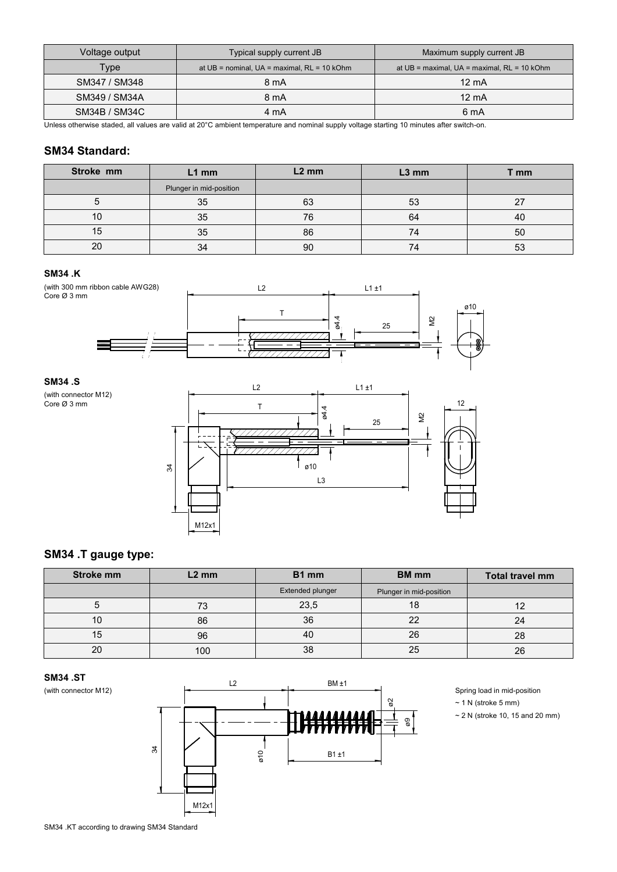| Voltage output | Typical supply current JB                           | Maximum supply current JB                         |
|----------------|-----------------------------------------------------|---------------------------------------------------|
| Type           | at $UB = nominal$ , $UA = maximal$ , $RL = 10$ kOhm | at $UB =$ maximal, $UA =$ maximal, $RL = 10$ kOhm |
| SM347 / SM348  | 8 mA                                                | $12 \text{ mA}$                                   |
| SM349 / SM34A  | 8 mA                                                | $12 \text{ mA}$                                   |
| SM34B / SM34C  | 4 mA                                                | 6 mA                                              |

Unless otherwise staded, all values are valid at 20°C ambient temperature and nominal supply voltage starting 10 minutes after switch-on.

## SM34 Standard:

| Stroke mm | $L1$ mm                 | $L2$ mm | $L3$ mm | mm |
|-----------|-------------------------|---------|---------|----|
|           | Plunger in mid-position |         |         |    |
|           | 35                      | 63      | 53      |    |
| 10        | 35                      | 76      | 64      | 40 |
| 15        | 35                      | 86      | 74      | 50 |
| 20        | 34                      | 90      | 74      | 53 |

#### SM34 .K



#### SM34 .S

(with connector M12) Core Ø 3 mm



# SM34 .T gauge type:

| Stroke mm | $L2$ mm | B <sub>1</sub> mm | <b>BM</b> mm            | Total travel mm |
|-----------|---------|-------------------|-------------------------|-----------------|
|           |         | Extended plunger  | Plunger in mid-position |                 |
|           | 73      | 23,5              | 18                      |                 |
|           | 86      | 36                | 22                      | 24              |
| 15        | 96      | 40                | 26                      | 28              |
| 20        | 100     | 38                | 25                      | 26              |





- $~\sim$  1 N (stroke 5 mm)
- $\sim$  2 N (stroke 10, 15 and 20 mm)